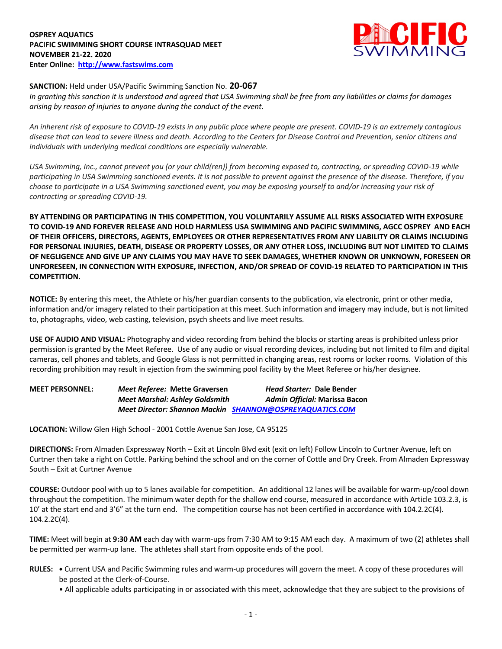### **OSPREY AQUATICS PACIFIC SWIMMING SHORT COURSE INTRASQUAD MEET NOVEMBER 21-22. 2020 Enter Online: http://www.fastswims.com**



# **SANCTION:** Held under USA/Pacific Swimming Sanction No. **20-067**

*In granting this sanction it is understood and agreed that USA Swimming shall be free from any liabilities or claims for damages arising by reason of injuries to anyone during the conduct of the event.* 

*An inherent risk of exposure to COVID-19 exists in any public place where people are present. COVID-19 is an extremely contagious disease that can lead to severe illness and death. According to the Centers for Disease Control and Prevention, senior citizens and individuals with underlying medical conditions are especially vulnerable.*

*USA Swimming, Inc., cannot prevent you (or your child(ren)) from becoming exposed to, contracting, or spreading COVID-19 while participating in USA Swimming sanctioned events. It is not possible to prevent against the presence of the disease. Therefore, if you choose to participate in a USA Swimming sanctioned event, you may be exposing yourself to and/or increasing your risk of contracting or spreading COVID-19.*

**BY ATTENDING OR PARTICIPATING IN THIS COMPETITION, YOU VOLUNTARILY ASSUME ALL RISKS ASSOCIATED WITH EXPOSURE TO COVID-19 AND FOREVER RELEASE AND HOLD HARMLESS USA SWIMMING AND PACIFIC SWIMMING, AGCC OSPREY AND EACH OF THEIR OFFICERS, DIRECTORS, AGENTS, EMPLOYEES OR OTHER REPRESENTATIVES FROM ANY LIABILITY OR CLAIMS INCLUDING FOR PERSONAL INJURIES, DEATH, DISEASE OR PROPERTY LOSSES, OR ANY OTHER LOSS, INCLUDING BUT NOT LIMITED TO CLAIMS OF NEGLIGENCE AND GIVE UP ANY CLAIMS YOU MAY HAVE TO SEEK DAMAGES, WHETHER KNOWN OR UNKNOWN, FORESEEN OR UNFORESEEN, IN CONNECTION WITH EXPOSURE, INFECTION, AND/OR SPREAD OF COVID-19 RELATED TO PARTICIPATION IN THIS COMPETITION.**

**NOTICE:** By entering this meet, the Athlete or his/her guardian consents to the publication, via electronic, print or other media, information and/or imagery related to their participation at this meet. Such information and imagery may include, but is not limited to, photographs, video, web casting, television, psych sheets and live meet results.

**USE OF AUDIO AND VISUAL:** Photography and video recording from behind the blocks or starting areas is prohibited unless prior permission is granted by the Meet Referee. Use of any audio or visual recording devices, including but not limited to film and digital cameras, cell phones and tablets, and Google Glass is not permitted in changing areas, rest rooms or locker rooms. Violation of this recording prohibition may result in ejection from the swimming pool facility by the Meet Referee or his/her designee.

| <b>MEET PERSONNEL:</b> | Meet Referee: Mette Graversen         | <i>Head Starter: Dale Bender</i>                         |
|------------------------|---------------------------------------|----------------------------------------------------------|
|                        | <b>Meet Marshal: Ashley Goldsmith</b> | Admin Official: Marissa Bacon                            |
|                        |                                       | Meet Director: Shannon Mackin SHANNON@OSPREYAQUATICS.COM |

**LOCATION:** Willow Glen High School - 2001 Cottle Avenue San Jose, CA 95125

**DIRECTIONS:** From Almaden Expressway North – Exit at Lincoln Blvd exit (exit on left) Follow Lincoln to Curtner Avenue, left on Curtner then take a right on Cottle. Parking behind the school and on the corner of Cottle and Dry Creek. From Almaden Expressway South – Exit at Curtner Avenue

**COURSE:** Outdoor pool with up to 5 lanes available for competition. An additional 12 lanes will be available for warm-up/cool down throughout the competition. The minimum water depth for the shallow end course, measured in accordance with Article 103.2.3, is 10' at the start end and 3'6" at the turn end. The competition course has not been certified in accordance with 104.2.2C(4). 104.2.2C(4).

**TIME:** Meet will begin at **9:30 AM** each day with warm-ups from 7:30 AM to 9:15 AM each day. A maximum of two (2) athletes shall be permitted per warm-up lane. The athletes shall start from opposite ends of the pool.

- **RULES: •** Current USA and Pacific Swimming rules and warm-up procedures will govern the meet. A copy of these procedures will be posted at the Clerk-of-Course.
	- All applicable adults participating in or associated with this meet, acknowledge that they are subject to the provisions of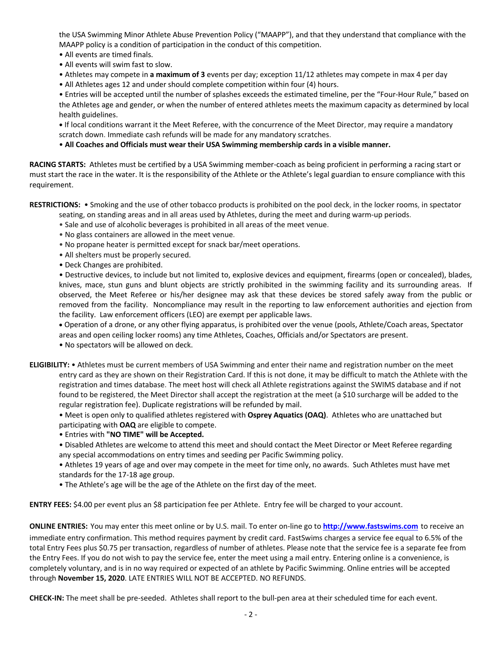the USA Swimming Minor Athlete Abuse Prevention Policy ("MAAPP"), and that they understand that compliance with the MAAPP policy is a condition of participation in the conduct of this competition.

- All events are timed finals.
- All events will swim fast to slow.
- Athletes may compete in **a maximum of 3** events per day; exception 11/12 athletes may compete in max 4 per day
- All Athletes ages 12 and under should complete competition within four (4) hours.

• Entries will be accepted until the number of splashes exceeds the estimated timeline, per the "Four-Hour Rule," based on the Athletes age and gender, or when the number of entered athletes meets the maximum capacity as determined by local health guidelines.

**•** If local conditions warrant it the Meet Referee, with the concurrence of the Meet Director, may require a mandatory scratch down. Immediate cash refunds will be made for any mandatory scratches.

## • **All Coaches and Officials must wear their USA Swimming membership cards in a visible manner.**

**RACING STARTS:** Athletes must be certified by a USA Swimming member-coach as being proficient in performing a racing start or must start the race in the water. It is the responsibility of the Athlete or the Athlete's legal guardian to ensure compliance with this requirement.

**RESTRICTIONS:** • Smoking and the use of other tobacco products is prohibited on the pool deck, in the locker rooms, in spectator

- seating, on standing areas and in all areas used by Athletes, during the meet and during warm-up periods.
- Sale and use of alcoholic beverages is prohibited in all areas of the meet venue.
- No glass containers are allowed in the meet venue.
- No propane heater is permitted except for snack bar/meet operations.
- All shelters must be properly secured.
- Deck Changes are prohibited.

• Destructive devices, to include but not limited to, explosive devices and equipment, firearms (open or concealed), blades, knives, mace, stun guns and blunt objects are strictly prohibited in the swimming facility and its surrounding areas. If observed, the Meet Referee or his/her designee may ask that these devices be stored safely away from the public or removed from the facility. Noncompliance may result in the reporting to law enforcement authorities and ejection from the facility. Law enforcement officers (LEO) are exempt per applicable laws.

• Operation of a drone, or any other flying apparatus, is prohibited over the venue (pools, Athlete/Coach areas, Spectator areas and open ceiling locker rooms) any time Athletes, Coaches, Officials and/or Spectators are present.

• No spectators will be allowed on deck.

**ELIGIBILITY:** • Athletes must be current members of USA Swimming and enter their name and registration number on the meet entry card as they are shown on their Registration Card. If this is not done, it may be difficult to match the Athlete with the registration and times database. The meet host will check all Athlete registrations against the SWIMS database and if not found to be registered, the Meet Director shall accept the registration at the meet (a \$10 surcharge will be added to the regular registration fee). Duplicate registrations will be refunded by mail.

• Meet is open only to qualified athletes registered with **Osprey Aquatics (OAQ)**. Athletes who are unattached but participating with **OAQ** are eligible to compete.

• Entries with **"NO TIME" will be Accepted.**

• Disabled Athletes are welcome to attend this meet and should contact the Meet Director or Meet Referee regarding any special accommodations on entry times and seeding per Pacific Swimming policy.

• Athletes 19 years of age and over may compete in the meet for time only, no awards. Such Athletes must have met standards for the 17-18 age group.

• The Athlete's age will be the age of the Athlete on the first day of the meet.

**ENTRY FEES:** \$4.00 per event plus an \$8 participation fee per Athlete. Entry fee will be charged to your account.

**ONLINE ENTRIES:** You may enter this meet online or by U.S. mail. To enter on-line go to **http://www.fastswims.com** to receive an immediate entry confirmation. This method requires payment by credit card. FastSwims charges a service fee equal to 6.5% of the total Entry Fees plus \$0.75 per transaction, regardless of number of athletes. Please note that the service fee is a separate fee from the Entry Fees. If you do not wish to pay the service fee, enter the meet using a mail entry. Entering online is a convenience, is completely voluntary, and is in no way required or expected of an athlete by Pacific Swimming. Online entries will be accepted through **November 15, 2020**. LATE ENTRIES WILL NOT BE ACCEPTED. NO REFUNDS.

**CHECK-IN:** The meet shall be pre-seeded. Athletes shall report to the bull-pen area at their scheduled time for each event.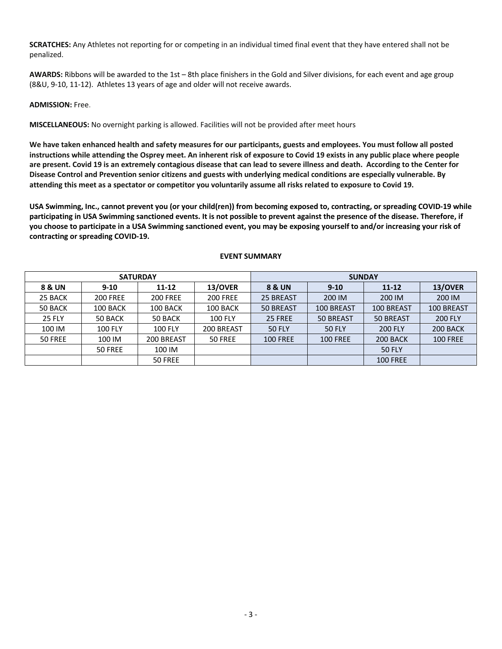**SCRATCHES:** Any Athletes not reporting for or competing in an individual timed final event that they have entered shall not be penalized.

**AWARDS:** Ribbons will be awarded to the 1st – 8th place finishers in the Gold and Silver divisions, for each event and age group (8&U, 9-10, 11-12). Athletes 13 years of age and older will not receive awards.

### **ADMISSION:** Free.

**MISCELLANEOUS:** No overnight parking is allowed. Facilities will not be provided after meet hours

**We have taken enhanced health and safety measures for our participants, guests and employees. You must follow all posted instructions while attending the Osprey meet. An inherent risk of exposure to Covid 19 exists in any public place where people are present. Covid 19 is an extremely contagious disease that can lead to severe illness and death. According to the Center for Disease Control and Prevention senior citizens and guests with underlying medical conditions are especially vulnerable. By attending this meet as a spectator or competitor you voluntarily assume all risks related to exposure to Covid 19.**

**USA Swimming, Inc., cannot prevent you (or your child(ren)) from becoming exposed to, contracting, or spreading COVID-19 while participating in USA Swimming sanctioned events. It is not possible to prevent against the presence of the disease. Therefore, if you choose to participate in a USA Swimming sanctioned event, you may be exposing yourself to and/or increasing your risk of contracting or spreading COVID-19.** 

|               | <b>SATURDAY</b> |                 |                 | <b>SUNDAY</b>     |                 |                 |                 |  |  |  |  |
|---------------|-----------------|-----------------|-----------------|-------------------|-----------------|-----------------|-----------------|--|--|--|--|
| 8 & UN        | $9 - 10$        | 11-12           | 13/OVER         | <b>8 &amp; UN</b> | $9 - 10$        | $11 - 12$       | 13/OVER         |  |  |  |  |
| 25 BACK       | <b>200 FREE</b> | <b>200 FREE</b> | <b>200 FREE</b> | 25 BREAST         | 200 IM          | 200 IM          | 200 IM          |  |  |  |  |
| 50 BACK       | 100 BACK        | 100 BACK        | 100 BACK        | 50 BREAST         | 100 BREAST      | 100 BREAST      | 100 BREAST      |  |  |  |  |
| <b>25 FLY</b> | 50 BACK         | 50 BACK         | <b>100 FLY</b>  | 25 FREE           | 50 BREAST       | 50 BREAST       | <b>200 FLY</b>  |  |  |  |  |
| 100 IM        | <b>100 FLY</b>  | <b>100 FLY</b>  | 200 BREAST      | <b>50 FLY</b>     | <b>50 FLY</b>   | <b>200 FLY</b>  | 200 BACK        |  |  |  |  |
| 50 FREE       | 100 IM          | 200 BREAST      | 50 FREE         | <b>100 FREE</b>   | <b>100 FREE</b> | 200 BACK        | <b>100 FREE</b> |  |  |  |  |
|               | 50 FREE         | 100 IM          |                 |                   |                 | <b>50 FLY</b>   |                 |  |  |  |  |
|               |                 | 50 FREE         |                 |                   |                 | <b>100 FREE</b> |                 |  |  |  |  |

### **EVENT SUMMARY**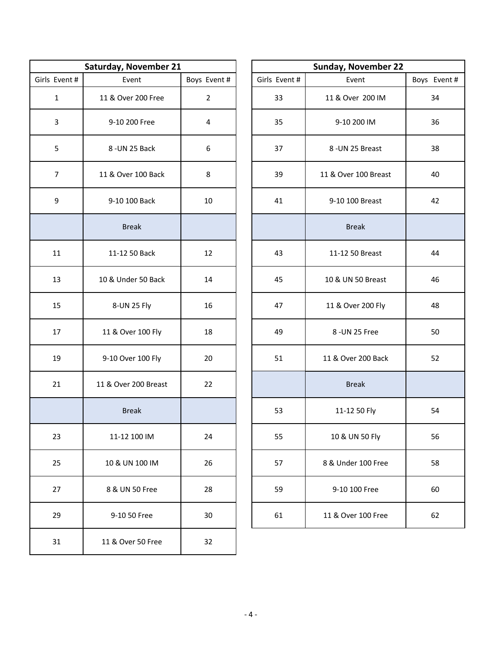|               | Saturday, November 21 |                |  | Sunday, Nov   |              |  |
|---------------|-----------------------|----------------|--|---------------|--------------|--|
| Girls Event # | Event                 | Boys Event #   |  | Girls Event # | Event        |  |
| $\mathbf{1}$  | 11 & Over 200 Free    | $\overline{2}$ |  | 33            | 11 & Over 2  |  |
| 3             | 9-10 200 Free         | 4              |  | 35            | 9-10 200     |  |
| 5             | 8-UN 25 Back          | 6              |  | 37            | 8-UN 25 B    |  |
| 7             | 11 & Over 100 Back    | 8              |  | 39            | 11 & Over 10 |  |
| 9             | 9-10 100 Back         | 10             |  | 41            | 9-10 100 B   |  |
|               | <b>Break</b>          |                |  |               | <b>Break</b> |  |
| 11            | 11-12 50 Back         | 12             |  | 43            | 11-12 50 B   |  |
| 13            | 10 & Under 50 Back    | 14             |  | 45            | 10 & UN 50   |  |
| 15            | 8-UN 25 Fly           | 16             |  | 47            | 11 & Over 2  |  |
| 17            | 11 & Over 100 Fly     | 18             |  | 49            | 8-UN 25      |  |
| 19            | 9-10 Over 100 Fly     | 20             |  | 51            | 11 & Over 20 |  |
| 21            | 11 & Over 200 Breast  | 22             |  |               | <b>Break</b> |  |
|               | <b>Break</b>          |                |  | 53            | 11-12 50     |  |
| 23            | 11-12 100 IM          | 24             |  | 55            | 10 & UN 5    |  |
| 25            | 10 & UN 100 IM        | 26             |  | 57            | 8 & Under 10 |  |
| 27            | 8 & UN 50 Free        | 28             |  | 59            | 9-10 100     |  |
| 29            | 9-10 50 Free          | 30             |  | 61            | 11 & Over 10 |  |
| 31            | 11 & Over 50 Free     | 32             |  |               |              |  |

|              | Saturday, November 21 |                | <b>Sunday, November 22</b> |                      |             |  |  |  |
|--------------|-----------------------|----------------|----------------------------|----------------------|-------------|--|--|--|
| Girls Event# | Event                 | Boys Event #   | Girls Event #              | Event                | Boys Event# |  |  |  |
| $\mathbf{1}$ | 11 & Over 200 Free    | $\overline{2}$ | 33                         | 11 & Over 200 IM     |             |  |  |  |
| $\mathsf 3$  | 9-10 200 Free         | 4              | 35                         | 9-10 200 IM          |             |  |  |  |
| 5            | 8-UN 25 Back          | 6              | 37                         | 8-UN 25 Breast       |             |  |  |  |
| 7            | 11 & Over 100 Back    | 8              | 39                         | 11 & Over 100 Breast |             |  |  |  |
| 9            | 9-10 100 Back         | 10             | 41                         | 9-10 100 Breast      | 42          |  |  |  |
|              | <b>Break</b>          |                |                            | <b>Break</b>         |             |  |  |  |
| 11           | 11-12 50 Back         | 12             | 43                         | 11-12 50 Breast      | 44          |  |  |  |
| 13           | 10 & Under 50 Back    | 14             | 45                         | 10 & UN 50 Breast    | 46          |  |  |  |
| 15           | 8-UN 25 Fly           | 16             | 47                         | 11 & Over 200 Fly    | 48          |  |  |  |
| 17           | 11 & Over 100 Fly     | 18             | 49                         | 8 - UN 25 Free       | 50          |  |  |  |
| 19           | 9-10 Over 100 Fly     | 20             | 51                         | 11 & Over 200 Back   | 52          |  |  |  |
| 21           | 11 & Over 200 Breast  | 22             |                            | <b>Break</b>         |             |  |  |  |
|              | <b>Break</b>          |                | 53                         | 11-12 50 Fly         | 54          |  |  |  |
| 23           | 11-12 100 IM          | 24             | 55                         | 10 & UN 50 Fly       |             |  |  |  |
| 25           | 10 & UN 100 IM        | 26             | 57                         | 8 & Under 100 Free   | 58          |  |  |  |
| 27           | 8 & UN 50 Free        | 28             | 59                         | 9-10 100 Free        | 60          |  |  |  |
| 29           | 9-10 50 Free          | 30             | 61                         | 11 & Over 100 Free   | 62          |  |  |  |
|              |                       |                |                            |                      |             |  |  |  |